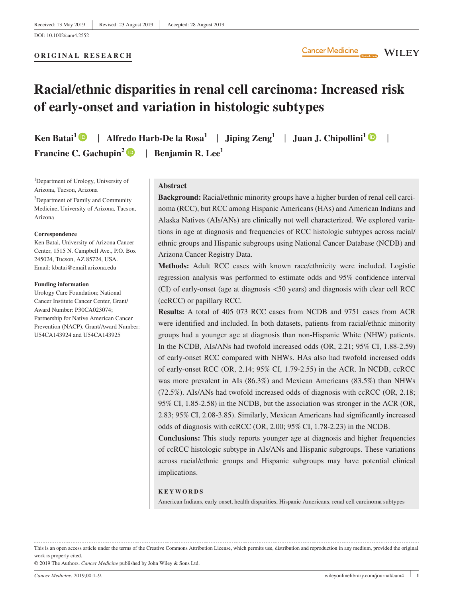**ORIGINAL RESEARCH**

# **Racial/ethnic disparities in renal cell carcinoma: Increased risk of early‐onset and variation in histologic subtypes**

**Ken Batai<sup>[1](https://orcid.org/0000-0003-2603-0382)</sup> | Alfredo Harb-De la Rosa<sup>1</sup> | Jiping Zeng<sup>1</sup> | Juan J. Chipollini<sup>1</sup> | | Francine C. Gachupin[2](https://orcid.org/0000-0003-2349-6486)** | **Benjamin R. Lee1**

<sup>1</sup>Department of Urology, University of Arizona, Tucson, Arizona <sup>2</sup>Department of Family and Community Medicine, University of Arizona, Tucson, Arizona

#### **Correspondence**

Ken Batai, University of Arizona Cancer Center, 1515 N. Campbell Ave., P.O. Box 245024, Tucson, AZ 85724, USA. Email: [kbatai@email.arizona.edu](mailto:kbatai@email.arizona.edu)

#### **Funding information**

Urology Care Foundation; National Cancer Institute Cancer Center, Grant/ Award Number: P30CA023074; Partnership for Native American Cancer Prevention (NACP), Grant/Award Number: U54CA143924 and U54CA143925

## **Abstract**

**Background:** Racial/ethnic minority groups have a higher burden of renal cell carcinoma (RCC), but RCC among Hispanic Americans (HAs) and American Indians and Alaska Natives (AIs/ANs) are clinically not well characterized. We explored variations in age at diagnosis and frequencies of RCC histologic subtypes across racial/ ethnic groups and Hispanic subgroups using National Cancer Database (NCDB) and Arizona Cancer Registry Data.

**Methods:** Adult RCC cases with known race/ethnicity were included. Logistic regression analysis was performed to estimate odds and 95% confidence interval (CI) of early‐onset (age at diagnosis <50 years) and diagnosis with clear cell RCC (ccRCC) or papillary RCC.

**Results:** A total of 405 073 RCC cases from NCDB and 9751 cases from ACR were identified and included. In both datasets, patients from racial/ethnic minority groups had a younger age at diagnosis than non‐Hispanic White (NHW) patients. In the NCDB, AIs/ANs had twofold increased odds (OR, 2.21; 95% CI, 1.88‐2.59) of early‐onset RCC compared with NHWs. HAs also had twofold increased odds of early‐onset RCC (OR, 2.14; 95% CI, 1.79‐2.55) in the ACR. In NCDB, ccRCC was more prevalent in AIs (86.3%) and Mexican Americans (83.5%) than NHWs (72.5%). AIs/ANs had twofold increased odds of diagnosis with ccRCC (OR, 2.18; 95% CI, 1.85-2.58) in the NCDB, but the association was stronger in the ACR (OR, 2.83; 95% CI, 2.08‐3.85). Similarly, Mexican Americans had significantly increased odds of diagnosis with ccRCC (OR, 2.00; 95% CI, 1.78‐2.23) in the NCDB.

**Conclusions:** This study reports younger age at diagnosis and higher frequencies of ccRCC histologic subtype in AIs/ANs and Hispanic subgroups. These variations across racial/ethnic groups and Hispanic subgroups may have potential clinical implications.

#### **KEYWORDS**

American Indians, early onset, health disparities, Hispanic Americans, renal cell carcinoma subtypes

© 2019 The Authors. *Cancer Medicine* published by John Wiley & Sons Ltd.

This is an open access article under the terms of the [Creative Commons Attribution](http://creativecommons.org/licenses/by/4.0/) License, which permits use, distribution and reproduction in any medium, provided the original work is properly cited.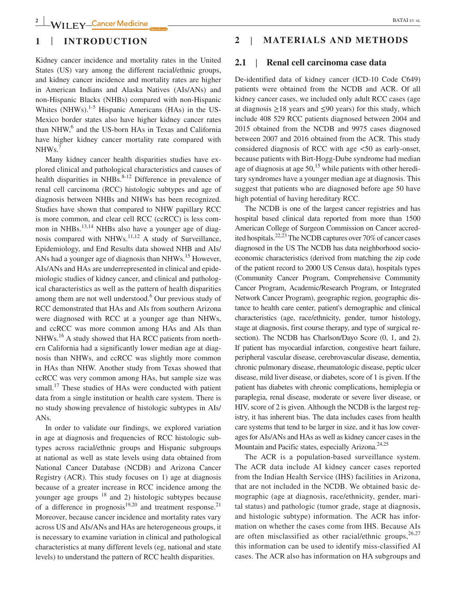**<sup>2</sup> <sup>|</sup>** BATAI et al

# **1** | **INTRODUCTION**

Kidney cancer incidence and mortality rates in the United States (US) vary among the different racial/ethnic groups, and kidney cancer incidence and mortality rates are higher in American Indians and Alaska Natives (AIs/ANs) and non‐Hispanic Blacks (NHBs) compared with non‐Hispanic Whites (NHWs).<sup>1-5</sup> Hispanic Americans (HAs) in the US-Mexico border states also have higher kidney cancer rates than NHW, $<sup>6</sup>$  and the US-born HAs in Texas and California</sup> have higher kidney cancer mortality rate compared with NHW<sub>s.</sub>7

Many kidney cancer health disparities studies have explored clinical and pathological characteristics and causes of health disparities in NHBs. $8-12$  Difference in prevalence of renal cell carcinoma (RCC) histologic subtypes and age of diagnosis between NHBs and NHWs has been recognized. Studies have shown that compared to NHW papillary RCC is more common, and clear cell RCC (ccRCC) is less common in NHBs.<sup>13,14</sup> NHBs also have a younger age of diagnosis compared with NHWs. $^{11,12}$  A study of Surveillance, Epidemiology, and End Results data showed NHB and AIs/ ANs had a younger age of diagnosis than NHWs.<sup>15</sup> However, AIs/ANs and HAs are underrepresented in clinical and epidemiologic studies of kidney cancer, and clinical and pathological characteristics as well as the pattern of health disparities among them are not well understood.<sup>6</sup> Our previous study of RCC demonstrated that HAs and AIs from southern Arizona were diagnosed with RCC at a younger age than NHWs, and ccRCC was more common among HAs and AIs than NHWs.<sup>16</sup> A study showed that HA RCC patients from northern California had a significantly lower median age at diagnosis than NHWs, and ccRCC was slightly more common in HAs than NHW. Another study from Texas showed that ccRCC was very common among HAs, but sample size was small.<sup>17</sup> These studies of HAs were conducted with patient data from a single institution or health care system. There is no study showing prevalence of histologic subtypes in AIs/ ANs.

In order to validate our findings, we explored variation in age at diagnosis and frequencies of RCC histologic subtypes across racial/ethnic groups and Hispanic subgroups at national as well as state levels using data obtained from National Cancer Database (NCDB) and Arizona Cancer Registry (ACR). This study focuses on 1) age at diagnosis because of a greater increase in RCC incidence among the younger age groups <sup>18</sup> and 2) histologic subtypes because of a difference in prognosis $19,20$  and treatment response.<sup>21</sup> Moreover, because cancer incidence and mortality rates vary across US and AIs/ANs and HAs are heterogeneous groups, it is necessary to examine variation in clinical and pathological characteristics at many different levels (eg, national and state levels) to understand the pattern of RCC health disparities.

# **2** | **MATERIALS AND METHODS**

## **2.1** | **Renal cell carcinoma case data**

De‐identified data of kidney cancer (ICD‐10 Code C649) patients were obtained from the NCDB and ACR. Of all kidney cancer cases, we included only adult RCC cases (age at diagnosis  $\geq$ 18 years and  $\leq$ 90 years) for this study, which include 408 529 RCC patients diagnosed between 2004 and 2015 obtained from the NCDB and 9975 cases diagnosed between 2007 and 2016 obtained from the ACR. This study considered diagnosis of RCC with age  $\lt$  50 as early-onset, because patients with Birt‐Hogg‐Dube syndrome had median age of diagnosis at age  $50<sup>15</sup>$  while patients with other hereditary syndromes have a younger median age at diagnosis. This suggest that patients who are diagnosed before age 50 have high potential of having hereditary RCC.

The NCDB is one of the largest cancer registries and has hospital based clinical data reported from more than 1500 American College of Surgeon Commission on Cancer accredited hospitals.22,23 The NCDB captures over 70% of cancer cases diagnosed in the US The NCDB has data neighborhood socioeconomic characteristics (derived from matching the zip code of the patient record to 2000 US Census data), hospitals types (Community Cancer Program, Comprehensive Community Cancer Program, Academic/Research Program, or Integrated Network Cancer Program), geographic region, geographic distance to health care center, patient's demographic and clinical characteristics (age, race/ethnicity, gender, tumor histology, stage at diagnosis, first course therapy, and type of surgical resection). The NCDB has Charlson/Dayo Score (0, 1, and 2). If patient has myocardial infarction, congestive heart failure, peripheral vascular disease, cerebrovascular disease, dementia, chronic pulmonary disease, rheumatologic disease, peptic ulcer disease, mild liver disease, or diabetes, score of 1 is given. If the patient has diabetes with chronic complications, hemiplegia or paraplegia, renal disease, moderate or severe liver disease, or HIV, score of 2 is given. Although the NCDB is the largest registry, it has inherent bias. The data includes cases from health care systems that tend to be larger in size, and it has low coverages for AIs/ANs and HAs as well as kidney cancer cases in the Mountain and Pacific states, especially Arizona.<sup>24,25</sup>

The ACR is a population-based surveillance system. The ACR data include AI kidney cancer cases reported from the Indian Health Service (IHS) facilities in Arizona, that are not included in the NCDB. We obtained basic demographic (age at diagnosis, race/ethnicity, gender, marital status) and pathologic (tumor grade, stage at diagnosis, and histologic subtype) information. The ACR has information on whether the cases come from IHS. Because AIs are often misclassified as other racial/ethnic groups,  $26,27$ this information can be used to identify miss‐classified AI cases. The ACR also has information on HA subgroups and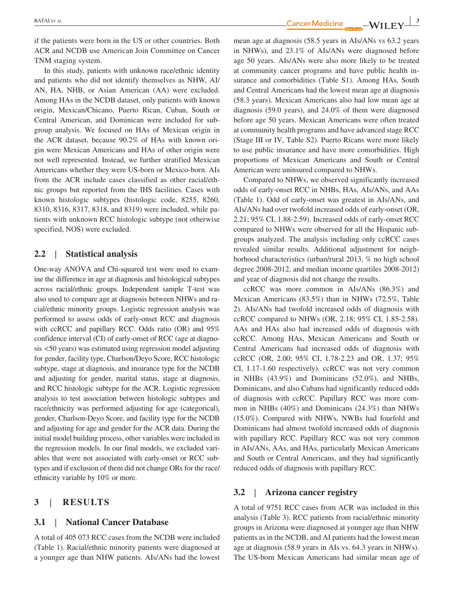if the patients were born in the US or other countries. Both ACR and NCDB use American Join Committee on Cancer TNM staging system.

In this study, patients with unknown race/ethnic identity and patients who did not identify themselves as NHW, AI/ AN, HA, NHB, or Asian American (AA) were excluded. Among HAs in the NCDB dataset, only patients with known origin, Mexican/Chicano, Puerto Rican, Cuban, South or Central American, and Dominican were included for subgroup analysis. We focused on HAs of Mexican origin in the ACR dataset, because 90.2% of HAs with known origin were Mexican Americans and HAs of other origin were not well represented. Instead, we further stratified Mexican Americans whether they were US‐born or Mexico‐born. AIs from the ACR include cases classified as other racial/ethnic groups but reported from the IHS facilities. Cases with known histologic subtypes (histologic code, 8255, 8260, 8310, 8316, 8317, 8318, and 8319) were included, while patients with unknown RCC histologic subtype (not otherwise specified, NOS) were excluded.

# **2.2** | **Statistical analysis**

One‐way ANOVA and Chi‐squared test were used to examine the difference in age at diagnosis and histological subtypes across racial/ethnic groups. Independent sample T‐test was also used to compare age at diagnosis between NHWs and racial/ethnic minority groups. Logistic regression analysis was performed to assess odds of early‐onset RCC and diagnosis with ccRCC and papillary RCC. Odds ratio (OR) and 95% confidence interval (CI) of early‐onset of RCC (age at diagnosis <50 years) was estimated using regression model adjusting for gender, facility type, Charlson/Deyo Score, RCC histologic subtype, stage at diagnosis, and insurance type for the NCDB and adjusting for gender, marital status, stage at diagnosis, and RCC histologic subtype for the ACR. Logistic regression analysis to test association between histologic subtypes and race/ethnicity was performed adjusting for age (categorical), gender, Charlson‐Deyo Score, and facility type for the NCDB and adjusting for age and gender for the ACR data. During the initial model building process, other variables were included in the regression models. In our final models, we excluded variables that were not associated with early‐onset or RCC subtypes and if exclusion of them did not change ORs for the race/ ethnicity variable by 10% or more.

# **3** | **RESULTS**

# **3.1** | **National Cancer Database**

A total of 405 073 RCC cases from the NCDB were included (Table 1). Racial/ethnic minority patients were diagnosed at a younger age than NHW patients. AIs/ANs had the lowest

**EXECUTE AL** BATAI ET AL **3 Cancer Medicine \_\_\_\_\_WILEY**  $\frac{3}{2}$ 

mean age at diagnosis (58.5 years in AIs/ANs vs 63.2 years in NHWs), and 23.1% of AIs/ANs were diagnosed before age 50 years. AIs/ANs were also more likely to be treated at community cancer programs and have public health insurance and comorbidities (Table S1). Among HAs, South and Central Americans had the lowest mean age at diagnosis (58.3 years). Mexican Americans also had low mean age at diagnosis (59.0 years), and 24.0% of them were diagnosed before age 50 years. Mexican Americans were often treated at community health programs and have advanced stage RCC (Stage III or IV, Table S2). Puerto Ricans were more likely to use public insurance and have more comorbidities. High proportions of Mexican Americans and South or Central American were uninsured compared to NHWs.

Compared to NHWs, we observed significantly increased odds of early‐onset RCC in NHBs, HAs, AIs/ANs, and AAs (Table 1). Odd of early‐onset was greatest in AIs/ANs, and AIs/ANs had over twofold increased odds of early‐onset (OR, 2.21; 95% CI, 1.88‐2.59). Increased odds of early‐onset RCC compared to NHWs were observed for all the Hispanic subgroups analyzed. The analysis including only ccRCC cases revealed similar results. Additional adjustment for neighborhood characteristics (urban/rural 2013, % no high school degree 2008‐2012, and median income quartiles 2008‐2012) and year of diagnosis did not change the results.

ccRCC was more common in AIs/ANs (86.3%) and Mexican Americans (83.5%) than in NHWs (72.5%, Table 2). AIs/ANs had twofold increased odds of diagnosis with ccRCC compared to NHWs (OR, 2.18; 95% CI, 1.85‐2.58). AAs and HAs also had increased odds of diagnosis with ccRCC. Among HAs, Mexican Americans and South or Central Americans had increased odds of diagnosis with ccRCC (OR, 2.00; 95% CI, 1.78‐2.23 and OR, 1.37; 95% CI, 1.17‐1.60 respectively). ccRCC was not very common in NHBs (43.9%) and Dominicans (52.0%), and NHBs, Dominicans, and also Cubans had significantly reduced odds of diagnosis with ccRCC. Papillary RCC was more common in NHBs (40%) and Dominicans (24.3%) than NHWs (15.0%). Compared with NHWs, NWBs had fourfold and Dominicans had almost twofold increased odds of diagnosis with papillary RCC. Papillary RCC was not very common in AIs/ANs, AAs, and HAs, particularly Mexican Americans and South or Central Americans, and they had significantly reduced odds of diagnosis with papillary RCC.

## **3.2** | **Arizona cancer registry**

A total of 9751 RCC cases from ACR was included in this analysis (Table 3). RCC patients from racial/ethnic minority groups in Arizona were diagnosed at younger age than NHW patients as in the NCDB, and AI patients had the lowest mean age at diagnosis (58.9 years in AIs vs. 64.3 years in NHWs). The US‐born Mexican Americans had similar mean age of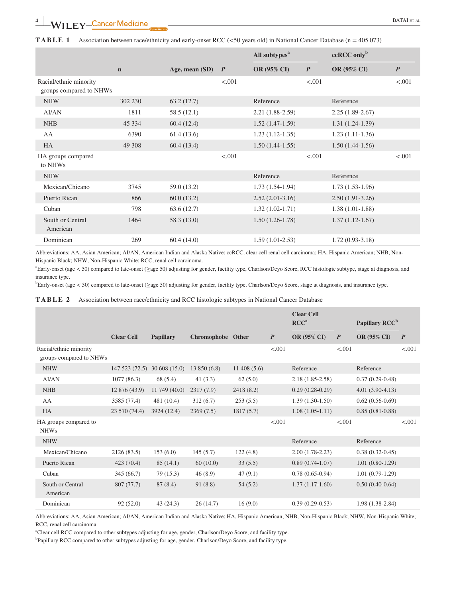**TABLE 1** Association between race/ethnicity and early-onset RCC (<50 years old) in National Cancer Database (n = 405 073)

|                                                   |             |                |                  | All subtypes <sup>a</sup> |                  | $ccRCC$ only <sup>b</sup> |                  |  |
|---------------------------------------------------|-------------|----------------|------------------|---------------------------|------------------|---------------------------|------------------|--|
|                                                   | $\mathbf n$ | Age, mean (SD) | $\boldsymbol{P}$ | <b>OR (95% CI)</b>        | $\boldsymbol{P}$ | <b>OR (95% CI)</b>        | $\boldsymbol{P}$ |  |
| Racial/ethnic minority<br>groups compared to NHWs |             |                | < .001           |                           | < .001           |                           | < .001           |  |
| <b>NHW</b>                                        | 302 230     | 63.2(12.7)     |                  | Reference                 |                  | Reference                 |                  |  |
| <b>AI/AN</b>                                      | 1811        | 58.5 (12.1)    |                  | $2.21(1.88-2.59)$         |                  | $2.25(1.89-2.67)$         |                  |  |
| <b>NHB</b>                                        | 45 3 3 4    | 60.4(12.4)     |                  | $1.52(1.47-1.59)$         |                  | $1.31(1.24-1.39)$         |                  |  |
| AA                                                | 6390        | 61.4(13.6)     |                  | $1.23(1.12-1.35)$         |                  | $1.23(1.11-1.36)$         |                  |  |
| <b>HA</b>                                         | 49 30 8     | 60.4(13.4)     |                  | $1.50(1.44-1.55)$         |                  | $1.50(1.44-1.56)$         |                  |  |
| HA groups compared<br>to NHWs                     |             |                | < .001           |                           | < .001           |                           | < .001           |  |
| <b>NHW</b>                                        |             |                |                  | Reference                 |                  | Reference                 |                  |  |
| Mexican/Chicano                                   | 3745        | 59.0 (13.2)    |                  | $1.73(1.54-1.94)$         |                  | $1.73(1.53-1.96)$         |                  |  |
| Puerto Rican                                      | 866         | 60.0(13.2)     |                  | $2.52(2.01-3.16)$         |                  | $2.50(1.91-3.26)$         |                  |  |
| Cuban                                             | 798         | 63.6(12.7)     |                  | $1.32(1.02-1.71)$         |                  | $1.38(1.01-1.88)$         |                  |  |
| South or Central<br>American                      | 1464        | 58.3 (13.0)    |                  | $1.50(1.26-1.78)$         |                  | $1.37(1.12-1.67)$         |                  |  |
| Dominican                                         | 269         | 60.4(14.0)     |                  | $1.59(1.01-2.53)$         |                  | $1.72(0.93-3.18)$         |                  |  |

Abbreviations: AA, Asian American; AI/AN, American Indian and Alaska Native; ccRCC, clear cell renal cell carcinoma; HA, Hispanic American; NHB, Non-Hispanic Black; NHW, Non-Hispanic White; RCC, renal cell carcinoma.

a Early‐onset (age < 50) compared to late‐onset (≥age 50) adjusting for gender, facility type, Charlson/Deyo Score, RCC histologic subtype, stage at diagnosis, and insurance type.

 ${}^{b}$ Early-onset (age < 50) compared to late-onset ( $\geq$ age 50) adjusting for gender, facility type, Charlson/Deyo Score, stage at diagnosis, and insurance type.

**TABLE 2** Association between race/ethnicity and RCC histologic subtypes in National Cancer Database

|                                                   |                   |                  |              |                  |                  | <b>Clear Cell</b><br>RCC <sup>a</sup> |                  | Papillary RCC <sup>b</sup> |                  |
|---------------------------------------------------|-------------------|------------------|--------------|------------------|------------------|---------------------------------------|------------------|----------------------------|------------------|
|                                                   | <b>Clear Cell</b> | <b>Papillary</b> | Chromophobe  | <b>Other</b>     | $\boldsymbol{P}$ | <b>OR (95% CI)</b>                    | $\boldsymbol{P}$ | <b>OR (95% CI)</b>         | $\boldsymbol{P}$ |
| Racial/ethnic minority<br>groups compared to NHWs |                   |                  |              |                  | < .001           |                                       | < .001           |                            | < .001           |
| <b>NHW</b>                                        | 147 523 (72.5)    | 30 608 (15.0)    | 13 850 (6.8) | $11\,408\,(5.6)$ |                  | Reference                             |                  | Reference                  |                  |
| AI/AN                                             | 1077(86.3)        | 68(5.4)          | 41(3.3)      | 62(5.0)          |                  | $2.18(1.85-2.58)$                     |                  | $0.37(0.29-0.48)$          |                  |
| <b>NHB</b>                                        | 12 876 (43.9)     | 11 749 (40.0)    | 2317(7.9)    | 2418 (8.2)       |                  | $0.29(0.28-0.29)$                     |                  | $4.01(3.90-4.13)$          |                  |
| AA                                                | 3585 (77.4)       | 481 (10.4)       | 312(6.7)     | 253(5.5)         |                  | $1.39(1.30-1.50)$                     |                  | $0.62(0.56-0.69)$          |                  |
| <b>HA</b>                                         | 23 570 (74.4)     | 3924 (12.4)      | 2369(7.5)    | 1817(5.7)        |                  | $1.08(1.05-1.11)$                     |                  | $0.85(0.81-0.88)$          |                  |
| HA groups compared to<br><b>NHWs</b>              |                   |                  |              |                  | < .001           |                                       | < .001           |                            | < .001           |
| <b>NHW</b>                                        |                   |                  |              |                  |                  | Reference                             |                  | Reference                  |                  |
| Mexican/Chicano                                   | 2126 (83.5)       | 153(6.0)         | 145(5.7)     | 122(4.8)         |                  | $2.00(1.78-2.23)$                     |                  | $0.38(0.32-0.45)$          |                  |
| Puerto Rican                                      | 423(70.4)         | 85(14.1)         | 60(10.0)     | 33(5.5)          |                  | $0.89(0.74-1.07)$                     |                  | $1.01(0.80-1.29)$          |                  |
| Cuban                                             | 345 (66.7)        | 79(15.3)         | 46(8.9)      | 47(9.1)          |                  | $0.78(0.65-0.94)$                     |                  | $1.01(0.79-1.29)$          |                  |
| South or Central<br>American                      | 807(77.7)         | 87(8.4)          | 91(8.8)      | 54(5.2)          |                  | $1.37(1.17-1.60)$                     |                  | $0.50(0.40-0.64)$          |                  |
| Dominican                                         | 92(52.0)          | 43 (24.3)        | 26(14.7)     | 16(9.0)          |                  | $0.39(0.29-0.53)$                     |                  | $1.98(1.38-2.84)$          |                  |

Abbreviations: AA, Asian American; AI/AN, American Indian and Alaska Native; HA, Hispanic American; NHB, Non‐Hispanic Black; NHW, Non‐Hispanic White; RCC, renal cell carcinoma.

<sup>a</sup>Clear cell RCC compared to other subtypes adjusting for age, gender, Charlson/Deyo Score, and facility type.

<sup>b</sup>Papillary RCC compared to other subtypes adjusting for age, gender, Charlson/Deyo Score, and facility type.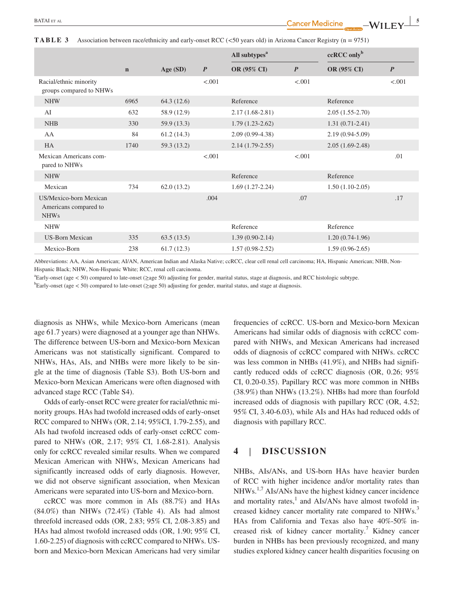| <b>TABLE 3</b> Association between race/ethnicity and early-onset RCC (<50 years old) in Arizona Cancer Registry ( $n = 9751$ ) |  |
|---------------------------------------------------------------------------------------------------------------------------------|--|
|---------------------------------------------------------------------------------------------------------------------------------|--|

|                                                                |             |             |                  | All subtypes <sup>a</sup> |                  | $ccRCC$ only <sup>b</sup> |                  |  |
|----------------------------------------------------------------|-------------|-------------|------------------|---------------------------|------------------|---------------------------|------------------|--|
|                                                                | $\mathbf n$ | Age $(SD)$  | $\boldsymbol{P}$ | <b>OR (95% CI)</b>        | $\boldsymbol{P}$ | <b>OR (95% CI)</b>        | $\boldsymbol{P}$ |  |
| Racial/ethnic minority<br>groups compared to NHWs              |             |             | < .001           |                           | < .001           |                           | < .001           |  |
| <b>NHW</b>                                                     | 6965        | 64.3(12.6)  |                  | Reference                 |                  | Reference                 |                  |  |
| AI                                                             | 632         | 58.9 (12.9) |                  | $2.17(1.68-2.81)$         |                  | $2.05(1.55-2.70)$         |                  |  |
| <b>NHB</b>                                                     | 330         | 59.9 (13.3) |                  | $1.79(1.23-2.62)$         |                  | $1.31(0.71-2.41)$         |                  |  |
| AA                                                             | 84          | 61.2(14.3)  |                  | $2.09(0.99-4.38)$         |                  | $2.19(0.94-5.09)$         |                  |  |
| HA                                                             | 1740        | 59.3 (13.2) |                  | $2.14(1.79-2.55)$         |                  | $2.05(1.69-2.48)$         |                  |  |
| Mexican Americans com-<br>pared to NHWs                        |             |             | < .001           |                           | < .001           |                           | .01              |  |
| <b>NHW</b>                                                     |             |             |                  | Reference                 |                  | Reference                 |                  |  |
| Mexican                                                        | 734         | 62.0(13.2)  |                  | $1.69(1.27-2.24)$         |                  | $1.50(1.10-2.05)$         |                  |  |
| US/Mexico-born Mexican<br>Americans compared to<br><b>NHWs</b> |             |             | .004             |                           | .07              |                           | .17              |  |
| <b>NHW</b>                                                     |             |             |                  | Reference                 |                  | Reference                 |                  |  |
| <b>US-Born Mexican</b>                                         | 335         | 63.5(13.5)  |                  | $1.39(0.90-2.14)$         |                  | $1.20(0.74-1.96)$         |                  |  |
| Mexico-Born                                                    | 238         | 61.7(12.3)  |                  | $1.57(0.98-2.52)$         |                  | $1.59(0.96-2.65)$         |                  |  |

Abbreviations: AA, Asian American; AI/AN, American Indian and Alaska Native; ccRCC, clear cell renal cell carcinoma; HA, Hispanic American; NHB, Non‐ Hispanic Black; NHW, Non‐Hispanic White; RCC, renal cell carcinoma.

 ${}^{4}$ Early-onset (age < 50) compared to late-onset (≥age 50) adjusting for gender, marital status, stage at diagnosis, and RCC histologic subtype.<br><sup>b</sup>Early-onset (age < 50) compared to late-onset (>age 50) adjusting for

<sup>b</sup>Early-onset (age < 50) compared to late-onset ( $\geq$ age 50) adjusting for gender, marital status, and stage at diagnosis.

diagnosis as NHWs, while Mexico‐born Americans (mean age 61.7 years) were diagnosed at a younger age than NHWs. The difference between US‐born and Mexico‐born Mexican Americans was not statistically significant. Compared to NHWs, HAs, AIs, and NHBs were more likely to be single at the time of diagnosis (Table S3). Both US‐born and Mexico‐born Mexican Americans were often diagnosed with advanced stage RCC (Table S4).

Odds of early‐onset RCC were greater for racial/ethnic minority groups. HAs had twofold increased odds of early‐onset RCC compared to NHWs (OR, 2.14; 95%CI, 1.79‐2.55), and AIs had twofold increased odds of early‐onset ccRCC compared to NHWs (OR, 2.17; 95% CI, 1.68‐2.81). Analysis only for ccRCC revealed similar results. When we compared Mexican American with NHWs, Mexican Americans had significantly increased odds of early diagnosis. However, we did not observe significant association, when Mexican Americans were separated into US‐born and Mexico‐born.

ccRCC was more common in AIs (88.7%) and HAs (84.0%) than NHWs (72.4%) (Table 4). AIs had almost threefold increased odds (OR, 2.83; 95% CI, 2.08‐3.85) and HAs had almost twofold increased odds (OR, 1.90; 95% CI, 1.60‐2.25) of diagnosis with ccRCC compared to NHWs. US‐ born and Mexico‐born Mexican Americans had very similar frequencies of ccRCC. US‐born and Mexico‐born Mexican Americans had similar odds of diagnosis with ccRCC compared with NHWs, and Mexican Americans had increased odds of diagnosis of ccRCC compared with NHWs. ccRCC was less common in NHBs (41.9%), and NHBs had significantly reduced odds of ccRCC diagnosis (OR, 0.26; 95% CI, 0.20‐0.35). Papillary RCC was more common in NHBs (38.9%) than NHWs (13.2%). NHBs had more than fourfold increased odds of diagnosis with papillary RCC (OR, 4.52; 95% CI, 3.40‐6.03), while AIs and HAs had reduced odds of diagnosis with papillary RCC.

# **4** | **DISCUSSION**

NHBs, AIs/ANs, and US‐born HAs have heavier burden of RCC with higher incidence and/or mortality rates than NHWs.<sup>1,7</sup> AIs/ANs have the highest kidney cancer incidence and mortality rates, $<sup>1</sup>$  and AIs/ANs have almost twofold in-</sup> creased kidney cancer mortality rate compared to NHWs.<sup>3</sup> HAs from California and Texas also have 40%‐50% increased risk of kidney cancer mortality.<sup>7</sup> Kidney cancer burden in NHBs has been previously recognized, and many studies explored kidney cancer health disparities focusing on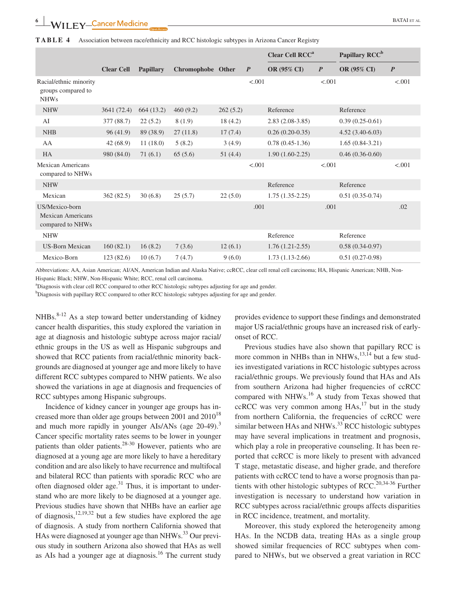| <b>TABLE 4</b> Association between race/ethnicity and RCC histologic subtypes in Arizona Cancer Registry |
|----------------------------------------------------------------------------------------------------------|
|----------------------------------------------------------------------------------------------------------|

|                                                             |                   |                  |                   |          |                  | Clear Cell RCC <sup>a</sup> |                  | Papillary RCC <sup>b</sup> |                  |
|-------------------------------------------------------------|-------------------|------------------|-------------------|----------|------------------|-----------------------------|------------------|----------------------------|------------------|
|                                                             | <b>Clear Cell</b> | <b>Papillary</b> | Chromophobe Other |          | $\boldsymbol{P}$ | <b>OR (95% CI)</b>          | $\boldsymbol{P}$ | <b>OR (95% CI)</b>         | $\boldsymbol{P}$ |
| Racial/ethnic minority<br>groups compared to<br><b>NHWs</b> |                   |                  |                   |          | < .001           |                             | < .001           |                            | < .001           |
| <b>NHW</b>                                                  | 3641 (72.4)       | 664(13.2)        | 460(9.2)          | 262(5.2) |                  | Reference                   |                  | Reference                  |                  |
| AI                                                          | 377 (88.7)        | 22(5.2)          | 8(1.9)            | 18(4.2)  |                  | $2.83(2.08-3.85)$           |                  | $0.39(0.25-0.61)$          |                  |
| <b>NHB</b>                                                  | 96(41.9)          | 89 (38.9)        | 27(11.8)          | 17(7.4)  |                  | $0.26(0.20-0.35)$           |                  | $4.52(3.40-6.03)$          |                  |
| AA                                                          | 42(68.9)          | 11(18.0)         | 5(8.2)            | 3(4.9)   |                  | $0.78(0.45-1.36)$           |                  | $1.65(0.84-3.21)$          |                  |
| HA                                                          | 980 (84.0)        | 71(6.1)          | 65(5.6)           | 51(4.4)  |                  | $1.90(1.60-2.25)$           |                  | $0.46(0.36-0.60)$          |                  |
| Mexican Americans<br>compared to NHWs                       |                   |                  |                   |          | < .001           |                             | < .001           |                            | < .001           |
| <b>NHW</b>                                                  |                   |                  |                   |          |                  | Reference                   |                  | Reference                  |                  |
| Mexican                                                     | 362(82.5)         | 30(6.8)          | 25(5.7)           | 22(5.0)  |                  | $1.75(1.35-2.25)$           |                  | $0.51(0.35-0.74)$          |                  |
| US/Mexico-born<br>Mexican Americans<br>compared to NHWs     |                   |                  |                   |          | .001             |                             | .001             |                            | .02              |
| <b>NHW</b>                                                  |                   |                  |                   |          |                  | Reference                   |                  | Reference                  |                  |
| <b>US-Born Mexican</b>                                      | 160(82.1)         | 16(8.2)          | 7(3.6)            | 12(6.1)  |                  | $1.76(1.21-2.55)$           |                  | $0.58(0.34-0.97)$          |                  |
| Mexico-Born                                                 | 123(82.6)         | 10(6.7)          | 7(4.7)            | 9(6.0)   |                  | $1.73(1.13-2.66)$           |                  | $0.51(0.27-0.98)$          |                  |

Abbreviations: AA, Asian American; AI/AN, American Indian and Alaska Native; ccRCC, clear cell renal cell carcinoma; HA, Hispanic American; NHB, Non-Hispanic Black; NHW, Non-Hispanic White; RCC, renal cell carcinoma.

a Diagnosis with clear cell RCC compared to other RCC histologic subtypes adjusting for age and gender.

<sup>b</sup>Diagnosis with papillary RCC compared to other RCC histologic subtypes adjusting for age and gender.

 $NHBs.<sup>8-12</sup>$  As a step toward better understanding of kidney cancer health disparities, this study explored the variation in age at diagnosis and histologic subtype across major racial/ ethnic groups in the US as well as Hispanic subgroups and showed that RCC patients from racial/ethnic minority backgrounds are diagnosed at younger age and more likely to have different RCC subtypes compared to NHW patients. We also showed the variations in age at diagnosis and frequencies of RCC subtypes among Hispanic subgroups.

Incidence of kidney cancer in younger age groups has increased more than older age groups between 2001 and 2010<sup>18</sup> and much more rapidly in younger AIs/ANs (age 20-49).<sup>3</sup> Cancer specific mortality rates seems to be lower in younger patients than older patients.<sup>28-30</sup> However, patients who are diagnosed at a young age are more likely to have a hereditary condition and are also likely to have recurrence and multifocal and bilateral RCC than patients with sporadic RCC who are often diagnosed older age. $31$  Thus, it is important to understand who are more likely to be diagnosed at a younger age. Previous studies have shown that NHBs have an earlier age of diagnosis,<sup>12,19,32</sup> but a few studies have explored the age of diagnosis. A study from northern California showed that HAs were diagnosed at younger age than NHWs.<sup>33</sup> Our previous study in southern Arizona also showed that HAs as well as AIs had a younger age at diagnosis.<sup>16</sup> The current study

provides evidence to support these findings and demonstrated major US racial/ethnic groups have an increased risk of early‐ onset of RCC.

Previous studies have also shown that papillary RCC is more common in NHBs than in NHWs,  $13,14$  but a few studies investigated variations in RCC histologic subtypes across racial/ethnic groups. We previously found that HAs and AIs from southern Arizona had higher frequencies of ccRCC compared with NHWs.<sup>16</sup> A study from Texas showed that ccRCC was very common among  $HAs$ ,<sup>17</sup> but in the study from northern California, the frequencies of ccRCC were similar between HAs and NHWs. $^{33}$  RCC histologic subtypes may have several implications in treatment and prognosis, which play a role in preoperative counseling. It has been reported that ccRCC is more likely to present with advanced T stage, metastatic disease, and higher grade, and therefore patients with ccRCC tend to have a worse prognosis than patients with other histologic subtypes of RCC.<sup>20,34-36</sup> Further investigation is necessary to understand how variation in RCC subtypes across racial/ethnic groups affects disparities in RCC incidence, treatment, and mortality.

Moreover, this study explored the heterogeneity among HAs. In the NCDB data, treating HAs as a single group showed similar frequencies of RCC subtypes when compared to NHWs, but we observed a great variation in RCC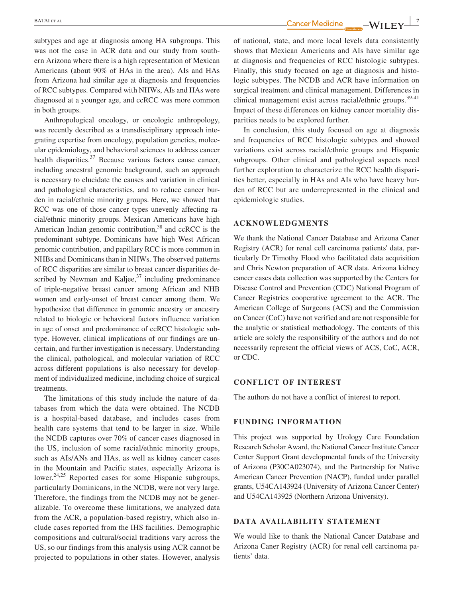**EXECUTE ALL EXECUTE 2** *Cancer Medicine \_\_\_\_\_WILEY* 

subtypes and age at diagnosis among HA subgroups. This was not the case in ACR data and our study from southern Arizona where there is a high representation of Mexican Americans (about 90% of HAs in the area). AIs and HAs from Arizona had similar age at diagnosis and frequencies of RCC subtypes. Compared with NHWs, AIs and HAs were diagnosed at a younger age, and ccRCC was more common in both groups.

Anthropological oncology, or oncologic anthropology, was recently described as a transdisciplinary approach integrating expertise from oncology, population genetics, molecular epidemiology, and behavioral sciences to address cancer health disparities.<sup>37</sup> Because various factors cause cancer, including ancestral genomic background, such an approach is necessary to elucidate the causes and variation in clinical and pathological characteristics, and to reduce cancer burden in racial/ethnic minority groups. Here, we showed that RCC was one of those cancer types unevenly affecting racial/ethnic minority groups. Mexican Americans have high American Indian genomic contribution, $38$  and ccRCC is the predominant subtype. Dominicans have high West African genomic contribution, and papillary RCC is more common in NHBs and Dominicans than in NHWs. The observed patterns of RCC disparities are similar to breast cancer disparities described by Newman and Kaljee, $37$  including predominance of triple‐negative breast cancer among African and NHB women and early-onset of breast cancer among them. We hypothesize that difference in genomic ancestry or ancestry related to biologic or behavioral factors influence variation in age of onset and predominance of ccRCC histologic subtype. However, clinical implications of our findings are uncertain, and further investigation is necessary. Understanding the clinical, pathological, and molecular variation of RCC across different populations is also necessary for development of individualized medicine, including choice of surgical treatments.

The limitations of this study include the nature of databases from which the data were obtained. The NCDB is a hospital‐based database, and includes cases from health care systems that tend to be larger in size. While the NCDB captures over 70% of cancer cases diagnosed in the US, inclusion of some racial/ethnic minority groups, such as AIs/ANs and HAs, as well as kidney cancer cases in the Mountain and Pacific states, especially Arizona is lower.<sup>24,25</sup> Reported cases for some Hispanic subgroups, particularly Dominicans, in the NCDB, were not very large. Therefore, the findings from the NCDB may not be generalizable. To overcome these limitations, we analyzed data from the ACR, a population‐based registry, which also include cases reported from the IHS facilities. Demographic compositions and cultural/social traditions vary across the US, so our findings from this analysis using ACR cannot be projected to populations in other states. However, analysis

of national, state, and more local levels data consistently shows that Mexican Americans and AIs have similar age at diagnosis and frequencies of RCC histologic subtypes. Finally, this study focused on age at diagnosis and histologic subtypes. The NCDB and ACR have information on surgical treatment and clinical management. Differences in clinical management exist across racial/ethnic groups.<sup>39-41</sup> Impact of these differences on kidney cancer mortality disparities needs to be explored further.

In conclusion, this study focused on age at diagnosis and frequencies of RCC histologic subtypes and showed variations exist across racial/ethnic groups and Hispanic subgroups. Other clinical and pathological aspects need further exploration to characterize the RCC health disparities better, especially in HAs and AIs who have heavy burden of RCC but are underrepresented in the clinical and epidemiologic studies.

#### **ACKNOWLEDGMENTS**

We thank the National Cancer Database and Arizona Caner Registry (ACR) for renal cell carcinoma patients' data, particularly Dr Timothy Flood who facilitated data acquisition and Chris Newton preparation of ACR data. Arizona kidney cancer cases data collection was supported by the Centers for Disease Control and Prevention (CDC) National Program of Cancer Registries cooperative agreement to the ACR. The American College of Surgeons (ACS) and the Commission on Cancer (CoC) have not verified and are not responsible for the analytic or statistical methodology. The contents of this article are solely the responsibility of the authors and do not necessarily represent the official views of ACS, CoC, ACR, or CDC.

#### **CONFLICT OF INTEREST**

The authors do not have a conflict of interest to report.

### **FUNDING INFORMATION**

This project was supported by Urology Care Foundation Research Scholar Award, the National Cancer Institute Cancer Center Support Grant developmental funds of the University of Arizona (P30CA023074), and the Partnership for Native American Cancer Prevention (NACP), funded under parallel grants, U54CA143924 (University of Arizona Cancer Center) and U54CA143925 (Northern Arizona University).

# **DATA AVAILABILITY STATEMENT**

We would like to thank the National Cancer Database and Arizona Caner Registry (ACR) for renal cell carcinoma patients' data.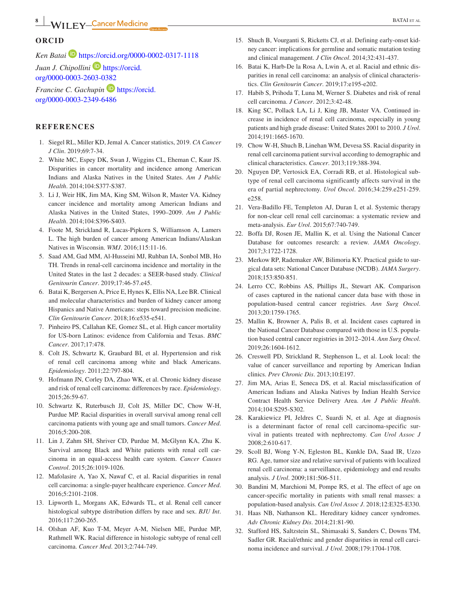# **ORCID**

*Ken Batai* <https://orcid.org/0000-0002-0317-1118>

*Juan J. Chipollini* **D** [https://orcid.](https://orcid.org/0000-0003-2603-0382) [org/0000-0003-2603-0382](https://orcid.org/0000-0003-2603-0382)

*Francine C. Gachupin* **[https://orcid.](https://orcid.org/0000-0003-2349-6486)** [org/0000-0003-2349-6486](https://orcid.org/0000-0003-2349-6486)

# **REFERENCES**

- 1. Siegel RL, Miller KD, Jemal A. Cancer statistics, 2019. *CA Cancer J Clin*. 2019;69:7‐34.
- 2. White MC, Espey DK, Swan J, Wiggins CL, Eheman C, Kaur JS. Disparities in cancer mortality and incidence among American Indians and Alaska Natives in the United States. *Am J Public Health*. 2014;104:S377‐S387.
- 3. Li J, Weir HK, Jim MA, King SM, Wilson R, Master VA. Kidney cancer incidence and mortality among American Indians and Alaska Natives in the United States, 1990–2009. *Am J Public Health*. 2014;104:S396‐S403.
- 4. Foote M, Strickland R, Lucas‐Pipkorn S, Williamson A, Lamers L. The high burden of cancer among American Indians/Alaskan Natives in Wisconsin. *WMJ*. 2016;115:11‐16.
- 5. Saad AM, Gad MM, Al‐Husseini MJ, Ruhban IA, Sonbol MB, Ho TH. Trends in renal‐cell carcinoma incidence and mortality in the United States in the last 2 decades: a SEER‐based study. *Clinical Genitourin Cancer*. 2019;17:46-57.e45.
- 6. Batai K, Bergersen A, Price E, Hynes K, Ellis NA, Lee BR. Clinical and molecular characteristics and burden of kidney cancer among Hispanics and Native Americans: steps toward precision medicine. *Clin Genitourin Cancer*. 2018;16:e535‐e541.
- 7. Pinheiro PS, Callahan KE, Gomez SL, et al. High cancer mortality for US‐born Latinos: evidence from California and Texas. *BMC Cancer*. 2017;17:478.
- 8. Colt JS, Schwartz K, Graubard BI, et al. Hypertension and risk of renal cell carcinoma among white and black Americans. *Epidemiology*. 2011;22:797‐804.
- 9. Hofmann JN, Corley DA, Zhao WK, et al. Chronic kidney disease and risk of renal cell carcinoma: differences by race. *Epidemiology*. 2015;26:59‐67.
- 10. Schwartz K, Ruterbusch JJ, Colt JS, Miller DC, Chow W‐H, Purdue MP. Racial disparities in overall survival among renal cell carcinoma patients with young age and small tumors. *Cancer Med*. 2016;5:200‐208.
- 11. Lin J, Zahm SH, Shriver CD, Purdue M, McGlynn KA, Zhu K. Survival among Black and White patients with renal cell carcinoma in an equal‐access health care system. *Cancer Causes Control*. 2015;26:1019‐1026.
- 12. Mafolasire A, Yao X, Nawaf C, et al. Racial disparities in renal cell carcinoma: a single‐payer healthcare experience. *Cancer Med*. 2016;5:2101‐2108.
- 13. Lipworth L, Morgans AK, Edwards TL, et al. Renal cell cancer histological subtype distribution differs by race and sex. *BJU Int*. 2016;117:260‐265.
- 14. Olshan AF, Kuo T‐M, Meyer A‐M, Nielsen ME, Purdue MP, Rathmell WK. Racial difference in histologic subtype of renal cell carcinoma. *Cancer Med*. 2013;2:744‐749.
- 15. Shuch B, Vourganti S, Ricketts CJ, et al. Defining early‐onset kidney cancer: implications for germline and somatic mutation testing and clinical management. *J Clin Oncol*. 2014;32:431‐437.
- 16. Batai K, Harb‐De la Rosa A, Lwin A, et al. Racial and ethnic disparities in renal cell carcinoma: an analysis of clinical characteristics. *Clin Genitourin Cancer*. 2019;17:e195‐e202.
- 17. Habib S, Prihoda T, Luna M, Werner S. Diabetes and risk of renal cell carcinoma. *J Cancer*. 2012;3:42‐48.
- 18. King SC, Pollack LA, Li J, King JB, Master VA. Continued increase in incidence of renal cell carcinoma, especially in young patients and high grade disease: United States 2001 to 2010. *J Urol*. 2014;191:1665‐1670.
- 19. Chow W‐H, Shuch B, Linehan WM, Devesa SS. Racial disparity in renal cell carcinoma patient survival according to demographic and clinical characteristics. *Cancer*. 2013;119:388‐394.
- 20. Nguyen DP, Vertosick EA, Corradi RB, et al. Histological subtype of renal cell carcinoma significantly affects survival in the era of partial nephrectomy. *Urol Oncol*. 2016;34:259.e251‐259. e258.
- 21. Vera‐Badillo FE, Templeton AJ, Duran I, et al. Systemic therapy for non‐clear cell renal cell carcinomas: a systematic review and meta‐analysis. *Eur Urol*. 2015;67:740‐749.
- 22. Boffa DJ, Rosen JE, Mallin K, et al. Using the National Cancer Database for outcomes research: a review. *JAMA Oncology*. 2017;3:1722‐1728.
- 23. Merkow RP, Rademaker AW, Bilimoria KY. Practical guide to surgical data sets: National Cancer Database (NCDB). *JAMA Surgery*. 2018;153:850‐851.
- 24. Lerro CC, Robbins AS, Phillips JL, Stewart AK. Comparison of cases captured in the national cancer data base with those in population‐based central cancer registries. *Ann Surg Oncol*. 2013;20:1759‐1765.
- 25. Mallin K, Browner A, Palis B, et al. Incident cases captured in the National Cancer Database compared with those in U.S. population based central cancer registries in 2012–2014. *Ann Surg Oncol*. 2019;26:1604‐1612.
- 26. Creswell PD, Strickland R, Stephenson L, et al. Look local: the value of cancer surveillance and reporting by American Indian clinics. *Prev Chronic Dis*. 2013;10:E197.
- 27. Jim MA, Arias E, Seneca DS, et al. Racial misclassification of American Indians and Alaska Natives by Indian Health Service Contract Health Service Delivery Area. *Am J Public Health*. 2014;104:S295‐S302.
- 28. Karakiewicz PI, Jeldres C, Suardi N, et al. Age at diagnosis is a determinant factor of renal cell carcinoma‐specific survival in patients treated with nephrectomy. *Can Urol Assoc J* 2008;2:610‐617.
- 29. Scoll BJ, Wong Y‐N, Egleston BL, Kunkle DA, Saad IR, Uzzo RG. Age, tumor size and relative survival of patients with localized renal cell carcinoma: a surveillance, epidemiology and end results analysis. *J Urol*. 2009;181:506‐511.
- 30. Bandini M, Marchioni M, Pompe RS, et al. The effect of age on cancer‐specific mortality in patients with small renal masses: a population‐based analysis. *Can Urol Assoc J*. 2018;12:E325‐E330.
- 31. Haas NB, Nathanson KL. Hereditary kidney cancer syndromes. *Adv Chronic Kidney Dis*. 2014;21:81‐90.
- 32. Stafford HS, Saltzstein SL, Shimasaki S, Sanders C, Downs TM, Sadler GR. Racial/ethnic and gender disparities in renal cell carcinoma incidence and survival. *J Urol*. 2008;179:1704‐1708.